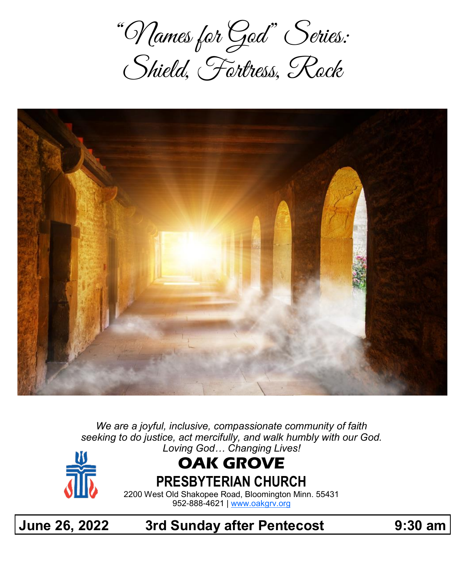"Names for God" Series: Shield, Fortress, Rock



*We are a joyful, inclusive, compassionate community of faith seeking to do justice, act mercifully, and walk humbly with our God. Loving God… Changing Lives!*



# **OAK GROVE**

**PRESBYTERIAN CHURCH**

2200 West Old Shakopee Road, Bloomington Minn. 55431 952-888-4621 | [www.oakgrv.org](https://www.oakgrv.org)

## **June 26, 2022 3rd Sunday after Pentecost 9:30 am**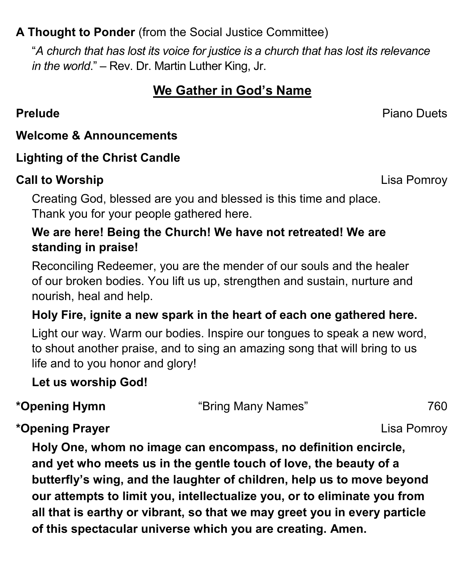### **A Thought to Ponder** (from the Social Justice Committee)

"*A church that has lost its voice for justice is a church that has lost its relevance in the world*." – Rev. Dr. Martin Luther King, Jr.

### **We Gather in God's Name**

### **Prelude** Piano Duets **Prelude** Piano Duets **Prelude** Piano Duets **Prelude** Piano Duets **Prelude** Piano Duets **Prelude** Piano Duets **Prelude** Present and *Prelude* Preludes **Preduced by Prelude** Present and *Prelude* Prese

#### **Welcome & Announcements**

### **Lighting of the Christ Candle**

### **Call to Worship** Lisa Pomroy

Creating God, blessed are you and blessed is this time and place. Thank you for your people gathered here.

### **We are here! Being the Church! We have not retreated! We are standing in praise!**

Reconciling Redeemer, you are the mender of our souls and the healer of our broken bodies. You lift us up, strengthen and sustain, nurture and nourish, heal and help.

### **Holy Fire, ignite a new spark in the heart of each one gathered here.**

Light our way. Warm our bodies. Inspire our tongues to speak a new word, to shout another praise, and to sing an amazing song that will bring to us life and to you honor and glory!

### **Let us worship God!**

| *Opening Hymn | "Bring Many Names" | 760 |
|---------------|--------------------|-----|
|               |                    |     |

### **\*Opening Prayer** Lisa Pomroy

**Holy One, whom no image can encompass, no definition encircle, and yet who meets us in the gentle touch of love, the beauty of a butterfly's wing, and the laughter of children, help us to move beyond our attempts to limit you, intellectualize you, or to eliminate you from all that is earthy or vibrant, so that we may greet you in every particle of this spectacular universe which you are creating. Amen.**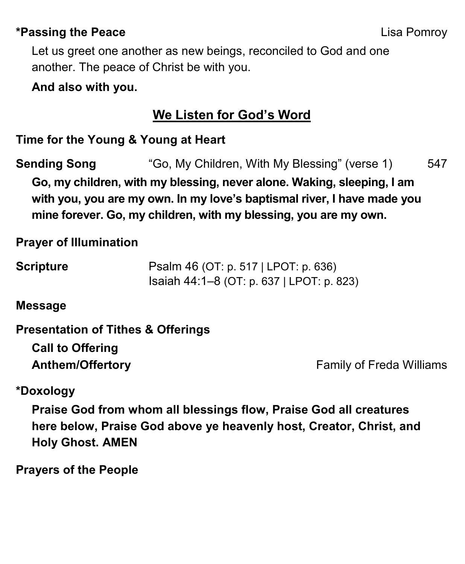#### **\*Passing the Peace Lisa Pomroy**

Let us greet one another as new beings, reconciled to God and one another. The peace of Christ be with you.

#### **And also with you.**

### **We Listen for God's Word**

**Time for the Young & Young at Heart**

**Sending Song** "Go, My Children, With My Blessing" (verse 1) 547 **Go, my children, with my blessing, never alone. Waking, sleeping, I am with you, you are my own. In my love's baptismal river, I have made you mine forever. Go, my children, with my blessing, you are my own.**

**Prayer of Illumination**

| <b>Scripture</b> | Psalm 46 (OT: p. 517   LPOT: p. 636)      |
|------------------|-------------------------------------------|
|                  | Isaiah 44:1–8 (OT: p. 637   LPOT: p. 823) |

**Message**

**Presentation of Tithes & Offerings**

**Call to Offering**

**Anthem/Offertory Family of Freda Williams** 

**\*Doxology**

**Praise God from whom all blessings flow, Praise God all creatures here below, Praise God above ye heavenly host, Creator, Christ, and Holy Ghost. AMEN**

**Prayers of the People**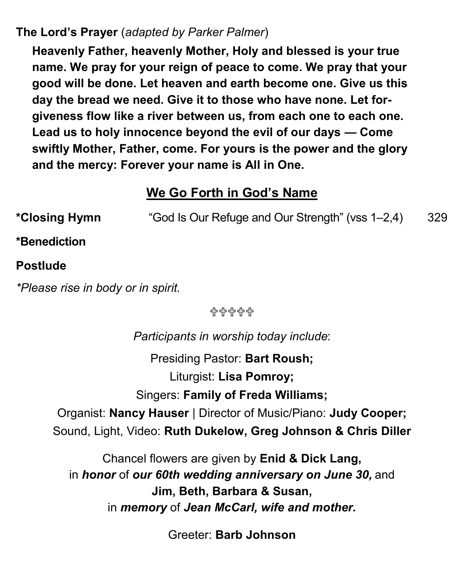### **The Lord's Prayer** (*adapted by Parker Palmer*)

**Heavenly Father, heavenly Mother, Holy and blessed is your true name. We pray for your reign of peace to come. We pray that your good will be done. Let heaven and earth become one. Give us this day the bread we need. Give it to those who have none. Let forgiveness flow like a river between us, from each one to each one. Lead us to holy innocence beyond the evil of our days — Come swiftly Mother, Father, come. For yours is the power and the glory and the mercy: Forever your name is All in One.**

### **We Go Forth in God's Name**

| <i><b>*Closing Hymn</b></i>        | "God Is Our Refuge and Our Strength" (vss 1–2,4) | 329 |
|------------------------------------|--------------------------------------------------|-----|
| *Benediction                       |                                                  |     |
| <b>Postlude</b>                    |                                                  |     |
| *Please rise in body or in spirit. |                                                  |     |
|                                    | 유유유유유                                            |     |
|                                    | Participants in worship today include:           |     |
|                                    | Presiding Pastor: Bart Roush;                    |     |
|                                    | Liturgist: Lisa Pomroy;                          |     |
|                                    | Singers: Family of Freda Williams;               |     |

Organist: **Nancy Hauser** | Director of Music/Piano: **Judy Cooper;**

Sound, Light, Video: **Ruth Dukelow, Greg Johnson & Chris Diller**

Chancel flowers are given by **Enid & Dick Lang,** in *honor* of *our 60th wedding anniversary on June 30,* and **Jim, Beth, Barbara & Susan,** in *memory* of *Jean McCarl, wife and mother.*

Greeter: **Barb Johnson**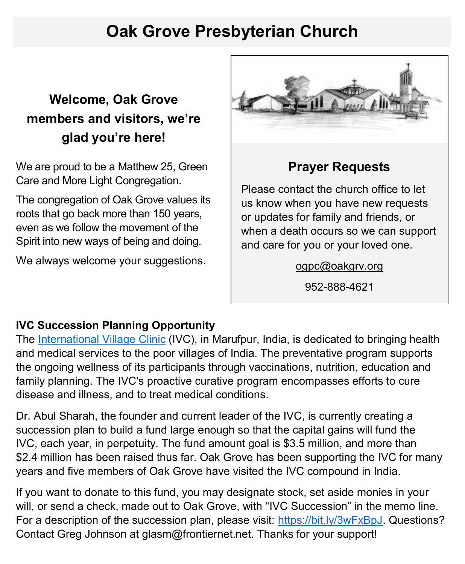# **Oak Grove Presbyterian Church**

# **Welcome, Oak Grove members and visitors, we're glad you're here!**

We are proud to be a Matthew 25, Green Care and More Light Congregation.

The congregation of Oak Grove values its roots that go back more than 150 years, even as we follow the movement of the Spirit into new ways of being and doing.

We always welcome your suggestions.



### **Prayer Requests**

Please contact the church office to let us know when you have new requests or updates for family and friends, or when a death occurs so we can support and care for you or your loved one.

[ogpc@oakgrv.org](mailto:ogpc@oakgrv.org)

952-888-4621

#### **IVC Succession Planning Opportunity**

The [International Village Clinic](http://www.villageclinic.org) (IVC), in Marufpur, India, is dedicated to bringing health and medical services to the poor villages of India. The preventative program supports the ongoing wellness of its participants through vaccinations, nutrition, education and family planning. The IVC's proactive curative program encompasses efforts to cure disease and illness, and to treat medical conditions.

Dr. Abul Sharah, the founder and current leader of the IVC, is currently creating a succession plan to build a fund large enough so that the capital gains will fund the IVC, each year, in perpetuity. The fund amount goal is \$3.5 million, and more than \$2.4 million has been raised thus far. Oak Grove has been supporting the IVC for many years and five members of Oak Grove have visited the IVC compound in India.

If you want to donate to this fund, you may designate stock, set aside monies in your will, or send a check, made out to Oak Grove, with "IVC Succession" in the memo line. For a description of the succession plan, please visit: [https://bit.ly/3wFxBpJ.](https://bit.ly/3wFxBpJ) Questions? Contact Greg Johnson at glasm@frontiernet.net. Thanks for your support!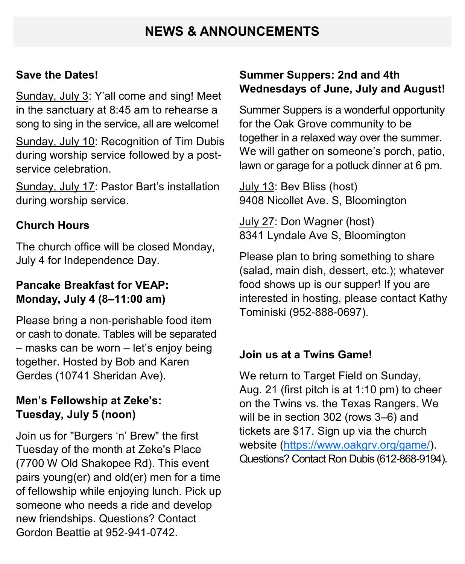### **NEWS & ANNOUNCEMENTS**

#### **Save the Dates!**

Sunday, July 3: Y'all come and sing! Meet in the sanctuary at 8:45 am to rehearse a song to sing in the service, all are welcome!

Sunday, July 10: Recognition of Tim Dubis during worship service followed by a postservice celebration.

Sunday, July 17: Pastor Bart's installation during worship service.

#### **Church Hours**

The church office will be closed Monday, July 4 for Independence Day.

#### **Pancake Breakfast for VEAP: Monday, July 4 (8–11:00 am)**

Please bring a non-perishable food item or cash to donate. Tables will be separated – masks can be worn – let's enjoy being together. Hosted by Bob and Karen Gerdes (10741 Sheridan Ave).

#### **Men's Fellowship at Zeke's: Tuesday, July 5 (noon)**

Join us for "Burgers 'n' Brew" the first Tuesday of the month at Zeke's Place (7700 W Old Shakopee Rd). This event pairs young(er) and old(er) men for a time of fellowship while enjoying lunch. Pick up someone who needs a ride and develop new friendships. Questions? Contact Gordon Beattie at 952-941-0742.

#### **Summer Suppers: 2nd and 4th Wednesdays of June, July and August!**

Summer Suppers is a wonderful opportunity for the Oak Grove community to be together in a relaxed way over the summer. We will gather on someone's porch, patio, lawn or garage for a potluck dinner at 6 pm.

July 13: Bev Bliss (host) 9408 Nicollet Ave. S, Bloomington

July 27: Don Wagner (host) 8341 Lyndale Ave S, Bloomington

Please plan to bring something to share (salad, main dish, dessert, etc.); whatever food shows up is our supper! If you are interested in hosting, please contact Kathy Tominiski (952-888-0697).

#### **Join us at a Twins Game!**

We return to Target Field on Sunday, Aug. 21 (first pitch is at 1:10 pm) to cheer on the Twins vs. the Texas Rangers. We will be in section 302 (rows 3–6) and tickets are \$17. Sign up via the church website ([https://www.oakgrv.org/game/\)](https://www.oakgrv.org/game/). Questions? Contact Ron Dubis (612-868-9194).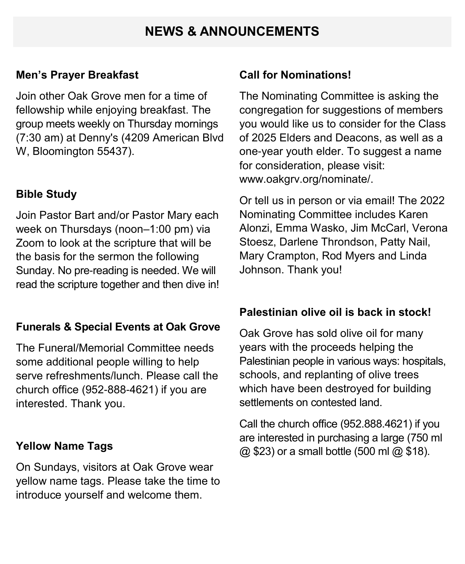### **NEWS & ANNOUNCEMENTS**

#### **Men's Prayer Breakfast**

Join other Oak Grove men for a time of fellowship while enjoying breakfast. The group meets weekly on Thursday mornings (7:30 am) at Denny's (4209 American Blvd W, Bloomington 55437).

#### **Bible Study**

Join Pastor Bart and/or Pastor Mary each week on Thursdays (noon–1:00 pm) via Zoom to look at the scripture that will be the basis for the sermon the following Sunday. No pre-reading is needed. We will read the scripture together and then dive in!

#### **Funerals & Special Events at Oak Grove**

The Funeral/Memorial Committee needs some additional people willing to help serve refreshments/lunch. Please call the church office (952-888-4621) if you are interested. Thank you.

#### **Yellow Name Tags**

On Sundays, visitors at Oak Grove wear yellow name tags. Please take the time to introduce yourself and welcome them.

#### **Call for Nominations!**

The Nominating Committee is asking the congregation for suggestions of members you would like us to consider for the Class of 2025 Elders and Deacons, as well as a one-year youth elder. To suggest a name for consideration, please visit: www.oakgrv.org/nominate/.

Or tell us in person or via email! The 2022 Nominating Committee includes Karen Alonzi, Emma Wasko, Jim McCarl, Verona Stoesz, Darlene Throndson, Patty Nail, Mary Crampton, Rod Myers and Linda Johnson. Thank you!

#### **Palestinian olive oil is back in stock!**

Oak Grove has sold olive oil for many years with the proceeds helping the Palestinian people in various ways: hospitals, schools, and replanting of olive trees which have been destroyed for building settlements on contested land.

Call the church office (952.888.4621) if you are interested in purchasing a large (750 ml  $\omega$  \$23) or a small bottle (500 ml  $\omega$  \$18).